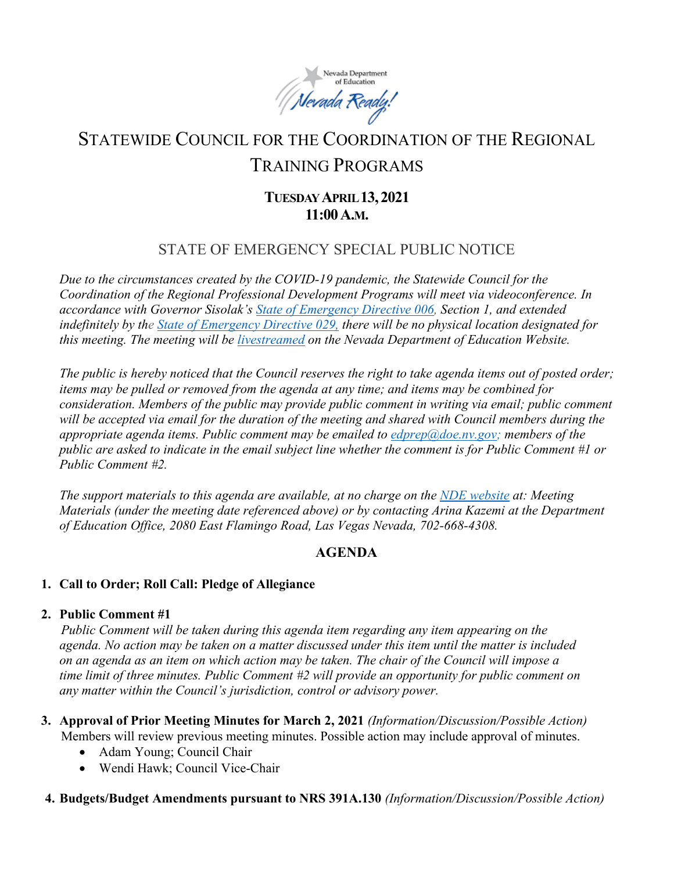

# STATEWIDE COUNCIL FOR THE COORDINATION OF THE REGIONAL TRAINING PROGRAMS

## **TUESDAY APRIL 13,2021 11:00A.M.**

## STATE OF EMERGENCY SPECIAL PUBLIC NOTICE

*Due to the circumstances created by the COVID-19 pandemic, the Statewide Council for the Coordination of the Regional Professional Development Programs will meet via videoconference. In accordance with Governor Sisolak's [State of Emergency Directive 006,](http://gov.nv.gov/News/Emergency_Orders/2020/2020-03-22_-_COVID-19_Declaration_of_Emergency_Directive_006/) Section 1, and extended indefinitely by the [State of Emergency Directive 029,](http://gov.nv.gov/News/Emergency_Orders/2020/2020-06-29_-_COVID-19_Declaration_of_Emergency_Directive_026/) there will be no physical location designated for this meeting. The meeting will be [livestreamed](http://www.doe.nv.gov/Boards_Commissions_Councils/Statewide_Council_Reg_Training/Meeting_Materials/) on the Nevada Department of Education Website.*

*The public is hereby noticed that the Council reserves the right to take agenda items out of posted order; items may be pulled or removed from the agenda at any time; and items may be combined for consideration. Members of the public may provide public comment in writing via email; public comment will be accepted via email for the duration of the meeting and shared with Council members during the appropriate agenda items. Public comment may be emailed to [edprep@doe.nv.gov;](mailto:edprep@doe.nv.gov) members of the public are asked to indicate in the email subject line whether the comment is for Public Comment #1 or Public Comment #2.* 

*The support materials to this agenda are available, at no charge on the [NDE website](http://www.doe.nv.gov/Boards_Commissions_Councils/Statewide_Council_Reg_Training/Statewide_Council_for_the_Coordination_of_Regional_Training_Programs/) at: Meeting Materials (under the meeting date referenced above) or by contacting Arina Kazemi at the Department of Education Office, 2080 East Flamingo Road, Las Vegas Nevada, 702-668-4308.* 

## **AGENDA**

### **1. Call to Order; Roll Call: Pledge of Allegiance**

### **2. Public Comment #1**

*Public Comment will be taken during this agenda item regarding any item appearing on the agenda. No action may be taken on a matter discussed under this item until the matter is included on an agenda as an item on which action may be taken. The chair of the Council will impose a time limit of three minutes. Public Comment #2 will provide an opportunity for public comment on any matter within the Council's jurisdiction, control or advisory power.*

- **3. Approval of Prior Meeting Minutes for March 2, 2021** *(Information/Discussion/Possible Action)* Members will review previous meeting minutes. Possible action may include approval of minutes.
	- Adam Young; Council Chair
	- Wendi Hawk; Council Vice-Chair

### **4. Budgets/Budget Amendments pursuant to NRS 391A.130** *(Information/Discussion/Possible Action)*